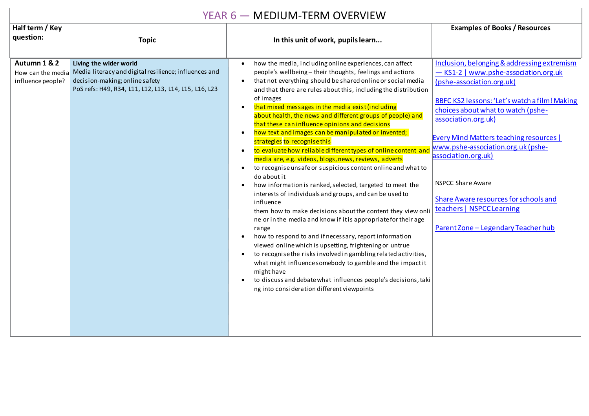## YEAR 6 — MEDIUM-TERM OVERVIEW

|                                   | ' L/ \' \ V<br>IVILDIVIVI ILI\IVI VVLI\VILVV                                                                                                                                                 |                                                                                                                                                                                                                                                                                                                                                                                                                                                                                                                                                                                                                                                                                                                                                                                                                                                                                                                                                                                                                                                                                                                                                                                                                                                                                                                                                                                                                                                                                                                                               |                                                                                                                                                                                                                                                                                                                                                                                                                                                                                         |  |  |  |  |  |
|-----------------------------------|----------------------------------------------------------------------------------------------------------------------------------------------------------------------------------------------|-----------------------------------------------------------------------------------------------------------------------------------------------------------------------------------------------------------------------------------------------------------------------------------------------------------------------------------------------------------------------------------------------------------------------------------------------------------------------------------------------------------------------------------------------------------------------------------------------------------------------------------------------------------------------------------------------------------------------------------------------------------------------------------------------------------------------------------------------------------------------------------------------------------------------------------------------------------------------------------------------------------------------------------------------------------------------------------------------------------------------------------------------------------------------------------------------------------------------------------------------------------------------------------------------------------------------------------------------------------------------------------------------------------------------------------------------------------------------------------------------------------------------------------------------|-----------------------------------------------------------------------------------------------------------------------------------------------------------------------------------------------------------------------------------------------------------------------------------------------------------------------------------------------------------------------------------------------------------------------------------------------------------------------------------------|--|--|--|--|--|
| Half term / Key<br>question:      | <b>Topic</b>                                                                                                                                                                                 | In this unit of work, pupils learn                                                                                                                                                                                                                                                                                                                                                                                                                                                                                                                                                                                                                                                                                                                                                                                                                                                                                                                                                                                                                                                                                                                                                                                                                                                                                                                                                                                                                                                                                                            | <b>Examples of Books / Resources</b>                                                                                                                                                                                                                                                                                                                                                                                                                                                    |  |  |  |  |  |
| Autumn 1 & 2<br>influence people? | Living the wider world<br>How can the media Media literacy and digital resilience; influences and<br>decision-making; online safety<br>PoS refs: H49, R34, L11, L12, L13, L14, L15, L16, L23 | how the media, including online experiences, can affect<br>$\bullet$<br>people's wellbeing - their thoughts, feelings and actions<br>that not everything should be shared online or social media<br>$\bullet$<br>and that there are rules about this, including the distribution<br>of images<br>that mixed messages in the media exist (including<br>$\bullet$<br>about health, the news and different groups of people) and<br>that these can influence opinions and decisions<br>how text and images can be manipulated or invented;<br>$\bullet$<br>strategies to recognise this<br>to evaluate how reliable different types of online content and<br>$\bullet$<br>media are, e.g. videos, blogs, news, reviews, adverts<br>to recognise unsafe or suspicious content online and what to<br>$\bullet$<br>do about it<br>how information is ranked, selected, targeted to meet the<br>$\bullet$<br>interests of individuals and groups, and can be used to<br>influence<br>them how to make decisions about the content they view onli<br>ne or in the media and know if it is appropriate for their age<br>range<br>how to respond to and if necessary, report information<br>$\bullet$<br>viewed online which is upsetting, frightening or untrue<br>to recognise the risks involved in gambling related activities,<br>$\bullet$<br>what might influence somebody to gamble and the impactit<br>might have<br>to discuss and debate what influences people's decisions, taki<br>$\bullet$<br>ng into consideration different viewpoints | Inclusion, belonging & addressing extremism<br>- KS1-2   www.pshe-association.org.uk<br>(pshe-association.org.uk)<br>BBFC KS2 lessons: 'Let's watch a film! Making<br>choices about what to watch (pshe-<br>association.org.uk)<br><b>Every Mind Matters teaching resources  </b><br>www.pshe-association.org.uk (pshe-<br>association.org.uk)<br><b>NSPCC Share Aware</b><br>Share Aware resources for schools and<br>teachers   NSPCC Learning<br>Parent Zone - Legendary Teacher hub |  |  |  |  |  |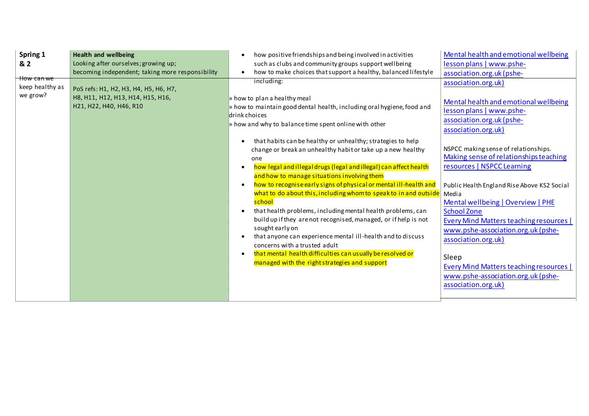| Spring 1<br>& 2<br><del>How can we</del> | <b>Health and wellbeing</b><br>Looking after ourselves; growing up;<br>becoming independent; taking more responsibility | how positive friendships and being involved in activities<br>such as clubs and community groups support wellbeing<br>how to make choices that support a healthy, balanced lifestyle<br>$\bullet$                                                                                                                                                                                                                                                                                                                                                                                                                                                                                                                                                                                                                                                                                                                                                                                                                                    | Mental health and emotional wellbeing<br>lesson plans   www.pshe-<br>association.org.uk (pshe-                                                                                                                                                                                                                                                                                                                                                                                                                                                                                                                  |
|------------------------------------------|-------------------------------------------------------------------------------------------------------------------------|-------------------------------------------------------------------------------------------------------------------------------------------------------------------------------------------------------------------------------------------------------------------------------------------------------------------------------------------------------------------------------------------------------------------------------------------------------------------------------------------------------------------------------------------------------------------------------------------------------------------------------------------------------------------------------------------------------------------------------------------------------------------------------------------------------------------------------------------------------------------------------------------------------------------------------------------------------------------------------------------------------------------------------------|-----------------------------------------------------------------------------------------------------------------------------------------------------------------------------------------------------------------------------------------------------------------------------------------------------------------------------------------------------------------------------------------------------------------------------------------------------------------------------------------------------------------------------------------------------------------------------------------------------------------|
| keep healthy as<br>we grow?              | PoS refs: H1, H2, H3, H4, H5, H6, H7,<br>H8, H11, H12, H13, H14, H15, H16,<br>H21, H22, H40, H46, R10                   | including:<br>» how to plan a healthy meal<br>$\frac{1}{2}$ how to maintain good dental health, including oral hygiene, food and<br>drink choices<br>$\triangleright$ how and why to balance time spent online with other<br>that habits can be healthy or unhealthy; strategies to help<br>change or break an unhealthy habit or take up a new healthy<br>one<br>how legal and illegal drugs (legal and illegal) can affect health<br>and how to manage situations involving them<br>how to recognise early signs of physical or mental ill-health and<br>$\bullet$<br>what to do about this, including whom to speak to in and outside<br>school<br>that health problems, including mental health problems, can<br>build up if they are not recognised, managed, or if help is not<br>sought early on<br>that anyone can experience mental ill-health and to discuss<br>concerns with a trusted adult<br>that mental health difficulties can usually be resolved or<br>$\bullet$<br>managed with the right strategies and support | association.org.uk)<br>Mental health and emotional wellbeing<br>lesson plans   www.pshe-<br>association.org.uk (pshe-<br>association.org.uk)<br>NSPCC making sense of relationships.<br>Making sense of relationships teaching<br>resources   NSPCC Learning<br>Public Health England Rise Above KS2 Social<br>Media<br>Mental wellbeing   Overview   PHE<br><b>School Zone</b><br>Every Mind Matters teaching resources  <br>www.pshe-association.org.uk (pshe-<br>association.org.uk)<br>Sleep<br><b>Every Mind Matters teaching resources  </b><br>www.pshe-association.org.uk (pshe-<br>association.org.uk) |